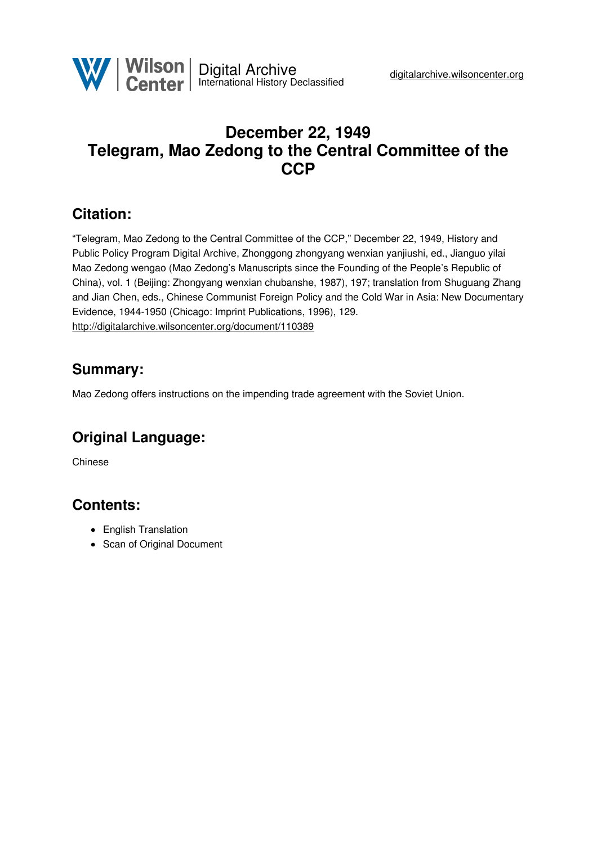

# **December 22, 1949 Telegram, Mao Zedong to the Central Committee of the CCP**

## **Citation:**

"Telegram, Mao Zedong to the Central Committee of the CCP," December 22, 1949, History and Public Policy Program Digital Archive, Zhonggong zhongyang wenxian yanjiushi, ed., Jianguo yilai Mao Zedong wengao (Mao Zedong's Manuscripts since the Founding of the People's Republic of China), vol. 1 (Beijing: Zhongyang wenxian chubanshe, 1987), 197; translation from Shuguang Zhang and Jian Chen, eds., Chinese Communist Foreign Policy and the Cold War in Asia: New Documentary Evidence, 1944-1950 (Chicago: Imprint Publications, 1996), 129. <http://digitalarchive.wilsoncenter.org/document/110389>

## **Summary:**

Mao Zedong offers instructions on the impending trade agreement with the Soviet Union.

# **Original Language:**

Chinese

## **Contents:**

- English Translation
- Scan of Original Document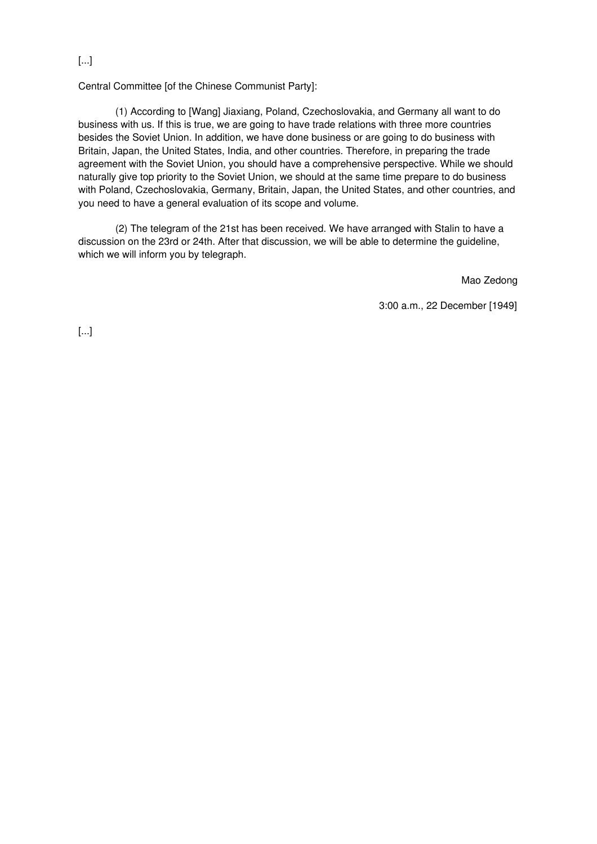#### [...]

Central Committee [of the Chinese Communist Party]:

(1) According to [Wang] Jiaxiang, Poland, Czechoslovakia, and Germany all want to do business with us. If this is true, we are going to have trade relations with three more countries besides the Soviet Union. In addition, we have done business or are going to do business with Britain, Japan, the United States, India, and other countries. Therefore, in preparing the trade agreement with the Soviet Union, you should have a comprehensive perspective. While we should naturally give top priority to the Soviet Union, we should at the same time prepare to do business with Poland, Czechoslovakia, Germany, Britain, Japan, the United States, and other countries, and you need to have a general evaluation of its scope and volume.

(2) The telegram of the 21st has been received. We have arranged with Stalin to have a discussion on the 23rd or 24th. After that discussion, we will be able to determine the guideline, which we will inform you by telegraph.

Mao Zedong

3:00 a.m., 22 December [1949]

[...]